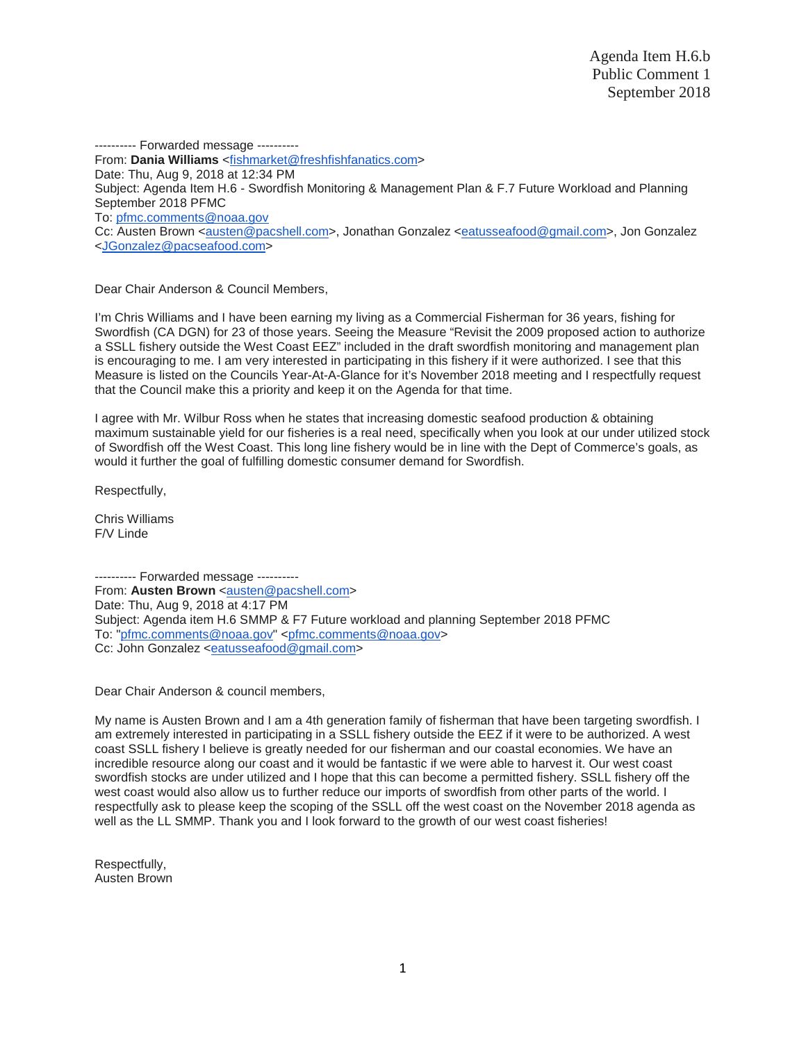---------- Forwarded message ---------- From: **Dania Williams** [<fishmarket@freshfishfanatics.com>](mailto:fishmarket@freshfishfanatics.com) Date: Thu, Aug 9, 2018 at 12:34 PM Subject: Agenda Item H.6 - Swordfish Monitoring & Management Plan & F.7 Future Workload and Planning September 2018 PFMC To: [pfmc.comments@noaa.gov](mailto:pfmc.comments@noaa.gov) Cc: Austen Brown [<austen@pacshell.com>](mailto:austen@pacshell.com), Jonathan Gonzalez [<eatusseafood@gmail.com>](mailto:eatusseafood@gmail.com), Jon Gonzalez [<JGonzalez@pacseafood.com>](mailto:JGonzalez@pacseafood.com)

Dear Chair Anderson & Council Members,

I'm Chris Williams and I have been earning my living as a Commercial Fisherman for 36 years, fishing for Swordfish (CA DGN) for 23 of those years. Seeing the Measure "Revisit the 2009 proposed action to authorize a SSLL fishery outside the West Coast EEZ" included in the draft swordfish monitoring and management plan is encouraging to me. I am very interested in participating in this fishery if it were authorized. I see that this Measure is listed on the Councils Year-At-A-Glance for it's November 2018 meeting and I respectfully request that the Council make this a priority and keep it on the Agenda for that time.

I agree with Mr. Wilbur Ross when he states that increasing domestic seafood production & obtaining maximum sustainable yield for our fisheries is a real need, specifically when you look at our under utilized stock of Swordfish off the West Coast. This long line fishery would be in line with the Dept of Commerce's goals, as would it further the goal of fulfilling domestic consumer demand for Swordfish.

Respectfully,

Chris Williams F/V Linde

---------- Forwarded message ---------- From: Austen Brown [<austen@pacshell.com>](mailto:austen@pacshell.com) Date: Thu, Aug 9, 2018 at 4:17 PM Subject: Agenda item H.6 SMMP & F7 Future workload and planning September 2018 PFMC To: ["pfmc.comments@noaa.gov"](mailto:pfmc.comments@noaa.gov) [<pfmc.comments@noaa.gov>](mailto:pfmc.comments@noaa.gov) Cc: John Gonzalez [<eatusseafood@gmail.com>](mailto:eatusseafood@gmail.com)

Dear Chair Anderson & council members,

My name is Austen Brown and I am a 4th generation family of fisherman that have been targeting swordfish. I am extremely interested in participating in a SSLL fishery outside the EEZ if it were to be authorized. A west coast SSLL fishery I believe is greatly needed for our fisherman and our coastal economies. We have an incredible resource along our coast and it would be fantastic if we were able to harvest it. Our west coast swordfish stocks are under utilized and I hope that this can become a permitted fishery. SSLL fishery off the west coast would also allow us to further reduce our imports of swordfish from other parts of the world. I respectfully ask to please keep the scoping of the SSLL off the west coast on the November 2018 agenda as well as the LL SMMP. Thank you and I look forward to the growth of our west coast fisheries!

Respectfully, Austen Brown